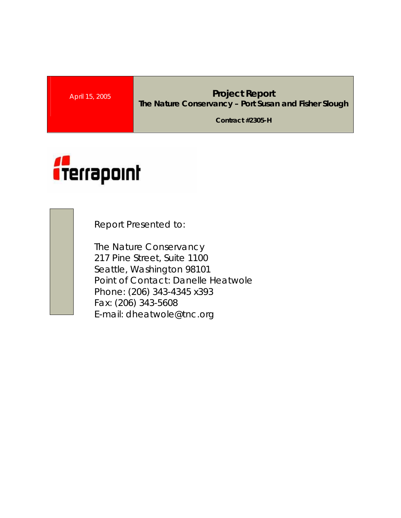### **April 15, 2005 Project Report The Nature Conservancy – Port Susan and Fisher Slough**

**Contract #2305-H** 



Report Presented to:

The Nature Conservancy 217 Pine Street, Suite 1100 Seattle, Washington 98101 Point of Contact: Danelle Heatwole Phone: (206) 343-4345 x393 Fax: (206) 343-5608 E-mail: dheatwole@tnc.org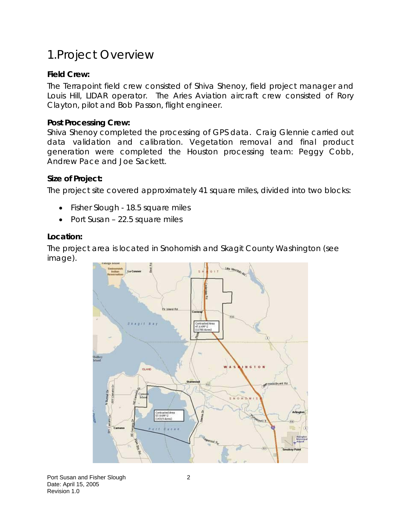# 1.Project Overview

### **Field Crew:**

The Terrapoint field crew consisted of Shiva Shenoy, field project manager and Louis Hill, LIDAR operator. The Aries Aviation aircraft crew consisted of Rory Clayton, pilot and Bob Passon, flight engineer.

#### **Post Processing Crew:**

Shiva Shenoy completed the processing of GPS data. Craig Glennie carried out data validation and calibration. Vegetation removal and final product generation were completed the Houston processing team: Peggy Cobb, Andrew Pace and Joe Sackett.

#### **Size of Project:**

The project site covered approximately 41 square miles, divided into two blocks:

- Fisher Slough 18.5 square miles
- Port Susan 22.5 square miles

#### **Location:**

The project area is located in Snohomish and Skagit County Washington (see image).

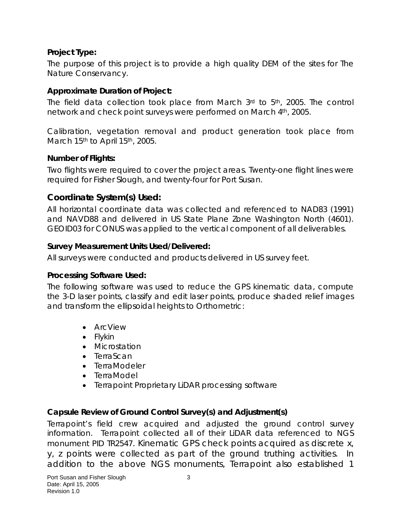### **Project Type:**

The purpose of this project is to provide a high quality DEM of the sites for The Nature Conservancy.

### **Approximate Duration of Project:**

The field data collection took place from March  $3<sup>rd</sup>$  to  $5<sup>th</sup>$ , 2005. The control network and check point surveys were performed on March 4th, 2005.

Calibration, vegetation removal and product generation took place from March 15<sup>th</sup> to April 15<sup>th</sup>, 2005.

#### **Number of Flights:**

Two flights were required to cover the project areas. Twenty-one flight lines were required for Fisher Slough, and twenty-four for Port Susan.

### **Coordinate System(s) Used:**

All horizontal coordinate data was collected and referenced to NAD83 (1991) and NAVD88 and delivered in US State Plane Zone Washington North (4601). GEOID03 for CONUS was applied to the vertical component of all deliverables.

#### **Survey Measurement Units Used/Delivered:**

All surveys were conducted and products delivered in US survey feet.

### **Processing Software Used:**

The following software was used to reduce the GPS kinematic data, compute the 3-D laser points, classify and edit laser points, produce shaded relief images and transform the ellipsoidal heights to Orthometric:

- ArcView
- Flykin
- Microstation
- TerraScan
- TerraModeler
- TerraModel
- Terrapoint Proprietary LiDAR processing software

### **Capsule Review of Ground Control Survey(s) and Adjustment(s)**

Terrapoint's field crew acquired and adjusted the ground control survey information. Terrapoint collected all of their LiDAR data referenced to NGS monument PID TR2547. Kinematic GPS check points acquired as discrete x, y, z points were collected as part of the ground truthing activities. In addition to the above NGS monuments, Terrapoint also established 1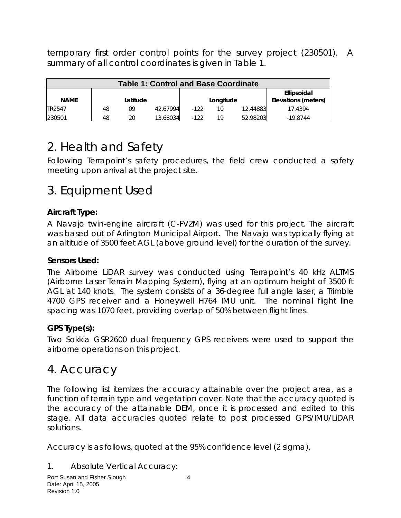temporary first order control points for the survey project (230501). A summary of all control coordinates is given in Table 1.

| <b>Table 1: Control and Base Coordinate</b> |    |          |          |        |           |          |                                    |  |
|---------------------------------------------|----|----------|----------|--------|-----------|----------|------------------------------------|--|
| <b>NAME</b>                                 |    | Latitude |          |        | Longitude |          | Ellipsoidal<br>Elevations (meters) |  |
| TR2547                                      | 48 | 09       | 42.67994 | $-122$ | 10        | 12.44883 | 17.4394                            |  |
| 230501                                      | 48 | 20       | 13.68034 | $-122$ | 19        | 52.98203 | $-19.8744$                         |  |

# 2. Health and Safety

Following Terrapoint's safety procedures, the field crew conducted a safety meeting upon arrival at the project site.

# 3. Equipment Used

### **Aircraft Type:**

A Navajo twin-engine aircraft (C-FVZM) was used for this project. The aircraft was based out of Arlington Municipal Airport. The Navajo was typically flying at an altitude of 3500 feet AGL (above ground level) for the duration of the survey.

### **Sensors Used:**

The Airborne LiDAR survey was conducted using Terrapoint's 40 kHz ALTMS (Airborne Laser Terrain Mapping System), flying at an optimum height of 3500 ft AGL at 140 knots. The system consists of a 36-degree full angle laser, a Trimble 4700 GPS receiver and a Honeywell H764 IMU unit. The nominal flight line spacing was 1070 feet, providing overlap of 50% between flight lines.

### **GPS Type(s):**

Two Sokkia GSR2600 dual frequency GPS receivers were used to support the airborne operations on this project.

## 4. Accuracy

The following list itemizes the accuracy attainable over the project area, as a function of terrain type and vegetation cover. Note that the accuracy quoted is the accuracy of the attainable DEM, once it is processed and edited to this stage. All data accuracies quoted relate to post processed GPS/IMU/LiDAR solutions.

Accuracy is as follows, quoted at the 95% confidence level (2 sigma),

### 1. Absolute Vertical Accuracy: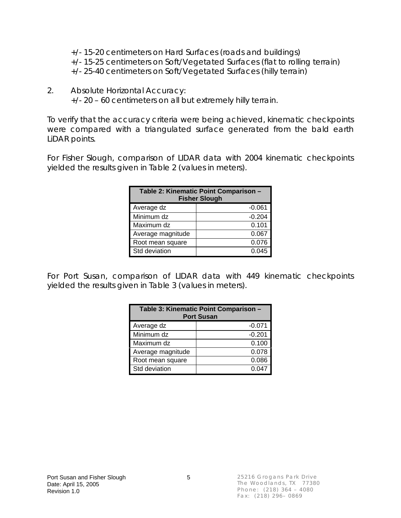+/- 15-20 centimeters on Hard Surfaces (roads and buildings) +/- 15-25 centimeters on Soft/Vegetated Surfaces (flat to rolling terrain) +/- 25-40 centimeters on Soft/Vegetated Surfaces (hilly terrain)

2. Absolute Horizontal Accuracy: +/- 20 – 60 centimeters on all but extremely hilly terrain.

To verify that the accuracy criteria were being achieved, kinematic checkpoints were compared with a triangulated surface generated from the bald earth LiDAR points.

For Fisher Slough, comparison of LIDAR data with 2004 kinematic checkpoints yielded the results given in Table 2 (values in meters).

| Table 2: Kinematic Point Comparison -<br><b>Fisher Slough</b> |          |  |  |  |  |
|---------------------------------------------------------------|----------|--|--|--|--|
| Average dz                                                    | $-0.061$ |  |  |  |  |
| Minimum dz                                                    | $-0.204$ |  |  |  |  |
| Maximum dz                                                    | 0.101    |  |  |  |  |
| Average magnitude                                             | 0.067    |  |  |  |  |
| Root mean square                                              | 0.076    |  |  |  |  |
| Std deviation                                                 | 0.045    |  |  |  |  |

For Port Susan, comparison of LIDAR data with 449 kinematic checkpoints yielded the results given in Table 3 (values in meters).

| Table 3: Kinematic Point Comparison -<br><b>Port Susan</b> |          |  |  |  |  |
|------------------------------------------------------------|----------|--|--|--|--|
| Average dz                                                 | $-0.071$ |  |  |  |  |
| Minimum dz                                                 | $-0.201$ |  |  |  |  |
| Maximum dz                                                 | 0.100    |  |  |  |  |
| Average magnitude                                          | 0.078    |  |  |  |  |
| Root mean square                                           | 0.086    |  |  |  |  |
| Std deviation                                              | 0.047    |  |  |  |  |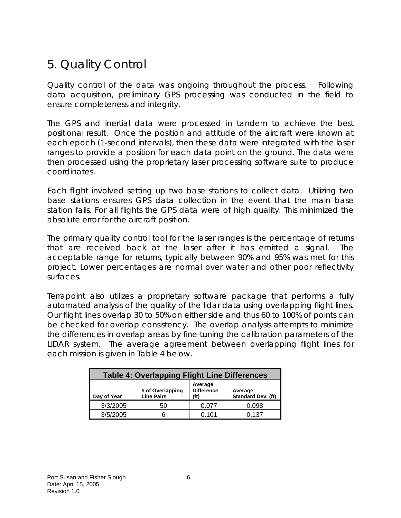# 5. Quality Control

Quality control of the data was ongoing throughout the process. Following data acquisition, preliminary GPS processing was conducted in the field to ensure completeness and integrity.

The GPS and inertial data were processed in tandem to achieve the best positional result. Once the position and attitude of the aircraft were known at each epoch (1-second intervals), then these data were integrated with the laser ranges to provide a position for each data point on the ground. The data were then processed using the proprietary laser processing software suite to produce coordinates.

Each flight involved setting up two base stations to collect data. Utilizing two base stations ensures GPS data collection in the event that the main base station fails. For all flights the GPS data were of high quality. This minimized the absolute error for the aircraft position.

The primary quality control tool for the laser ranges is the percentage of returns that are received back at the laser after it has emitted a signal. The acceptable range for returns, typically between 90% and 95% was met for this project. Lower percentages are normal over water and other poor reflectivity surfaces.

Terrapoint also utilizes a proprietary software package that performs a fully automated analysis of the quality of the lidar data using overlapping flight lines. Our flight lines overlap 30 to 50% on either side and thus 60 to 100% of points can be checked for overlap consistency. The overlap analysis attempts to minimize the differences in overlap areas by fine-tuning the calibration parameters of the LIDAR system. The average agreement between overlapping flight lines for each mission is given in Table 4 below.

| <b>Table 4: Overlapping Flight Line Differences</b> |                                       |                              |                               |  |  |  |  |  |
|-----------------------------------------------------|---------------------------------------|------------------------------|-------------------------------|--|--|--|--|--|
| Day of Year                                         | # of Overlapping<br><b>Line Pairs</b> | Average<br><b>Difference</b> | Average<br>Standard Dev. (ft) |  |  |  |  |  |
| 3/3/2005                                            | 50                                    | 0.077                        | 0.098                         |  |  |  |  |  |
| 3/5/2005                                            | 6                                     | 0.101                        | 0.137                         |  |  |  |  |  |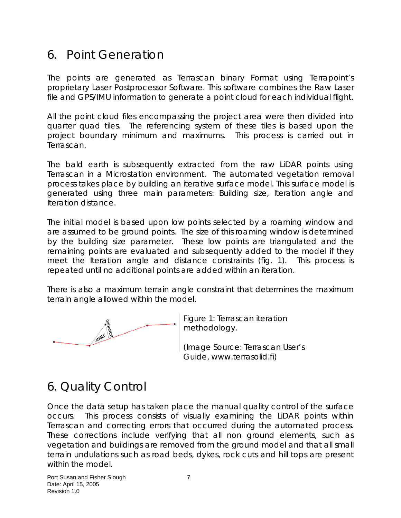## 6. Point Generation

The points are generated as Terrascan binary Format using Terrapoint's proprietary Laser Postprocessor Software. This software combines the Raw Laser file and GPS/IMU information to generate a point cloud for each individual flight.

All the point cloud files encompassing the project area were then divided into quarter quad tiles. The referencing system of these tiles is based upon the project boundary minimum and maximums. This process is carried out in Terrascan.

The bald earth is subsequently extracted from the raw LiDAR points using Terrascan in a Microstation environment. The automated vegetation removal process takes place by building an iterative surface model. This surface model is generated using three main parameters: Building size, Iteration angle and Iteration distance.

The initial model is based upon low points selected by a roaming window and are assumed to be ground points. The size of this roaming window is determined by the building size parameter. These low points are triangulated and the remaining points are evaluated and subsequently added to the model if they meet the Iteration angle and distance constraints (fig. 1). This process is repeated until no additional points are added within an iteration.

There is also a maximum terrain angle constraint that determines the maximum terrain angle allowed within the model.



Figure 1: Terrascan iteration methodology.

(Image Source: Terrascan User's Guide, www.terrasolid.fi)

# 6. Quality Control

Once the data setup has taken place the manual quality control of the surface occurs. This process consists of visually examining the LiDAR points within Terrascan and correcting errors that occurred during the automated process. These corrections include verifying that all non ground elements, such as vegetation and buildings are removed from the ground model and that all small terrain undulations such as road beds, dykes, rock cuts and hill tops are present within the model.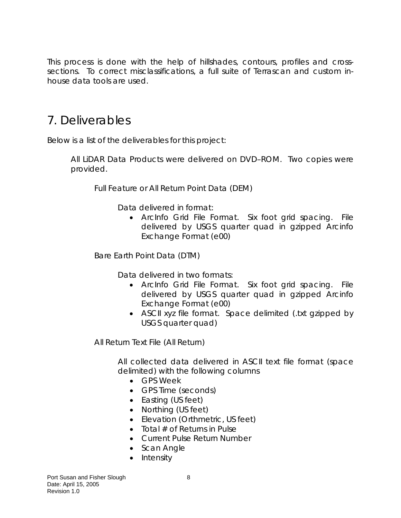This process is done with the help of hillshades, contours, profiles and crosssections. To correct misclassifications, a full suite of Terrascan and custom inhouse data tools are used.

## 7. Deliverables

Below is a list of the deliverables for this project:

All LiDAR Data Products were delivered on DVD–ROM. Two copies were provided.

Full Feature or All Return Point Data (DEM)

Data delivered in format:

• ArcInfo Grid File Format. Six foot grid spacing. File delivered by USGS quarter quad in gzipped Arcinfo Exchange Format (e00)

Bare Earth Point Data (DTM)

Data delivered in two formats:

- ArcInfo Grid File Format. Six foot grid spacing. File delivered by USGS quarter quad in gzipped Arcinfo Exchange Format (e00)
- ASCII xyz file format. Space delimited (txt gzipped by USGS quarter quad)

All Return Text File (All Return)

All collected data delivered in ASCII text file format (space delimited) with the following columns

- GPS Week
- GPS Time (seconds)
- Easting (US feet)
- Northing (US feet)
- Elevation (Orthmetric, US feet)
- Total  $#$  of Returns in Pulse
- Current Pulse Return Number
- Scan Angle
- Intensity